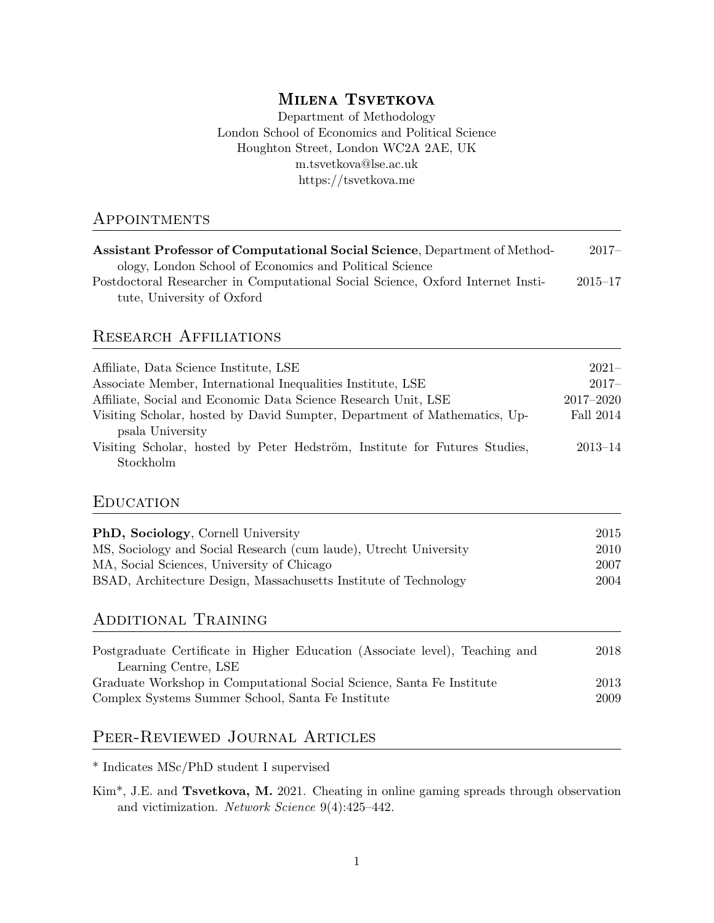# MILENA TSVETKOVA

Department of Methodology London School of Economics and Political Science Houghton Street, London WC2A 2AE, UK m.tsvetkova@lse.ac.uk https://tsvetkova.me

## **APPOINTMENTS**

| <b>Assistant Professor of Computational Social Science, Department of Method-</b> | $2017-$     |
|-----------------------------------------------------------------------------------|-------------|
| ology, London School of Economics and Political Science                           |             |
| Postdoctoral Researcher in Computational Social Science, Oxford Internet Insti-   | $2015 - 17$ |
| tute, University of Oxford                                                        |             |

# Research Affiliations

| Affiliate, Data Science Institute, LSE                                     | $2021-$       |
|----------------------------------------------------------------------------|---------------|
|                                                                            |               |
| Associate Member, International Inequalities Institute, LSE                | $2017-$       |
| Affiliate, Social and Economic Data Science Research Unit, LSE             | $2017 - 2020$ |
| Visiting Scholar, hosted by David Sumpter, Department of Mathematics, Up-  | Fall 2014     |
| psala University                                                           |               |
| Visiting Scholar, hosted by Peter Hedström, Institute for Futures Studies, | $2013 - 14$   |
| Stockholm                                                                  |               |

## **EDUCATION**

| <b>PhD, Sociology, Cornell University</b>                         | 2015 |
|-------------------------------------------------------------------|------|
| MS, Sociology and Social Research (cum laude), Utrecht University | 2010 |
| MA, Social Sciences, University of Chicago                        | 2007 |
| BSAD, Architecture Design, Massachusetts Institute of Technology  | 2004 |

# Additional Training

| Postgraduate Certificate in Higher Education (Associate level), Teaching and | 2018 |
|------------------------------------------------------------------------------|------|
| Learning Centre, LSE                                                         |      |
| Graduate Workshop in Computational Social Science, Santa Fe Institute        | 2013 |
| Complex Systems Summer School, Santa Fe Institute                            | 2009 |

# Peer-Reviewed Journal Articles

\* Indicates MSc/PhD student I supervised

Kim\*, J.E. and Tsvetkova, M. 2021. Cheating in online gaming spreads through observation and victimization. Network Science 9(4):425–442.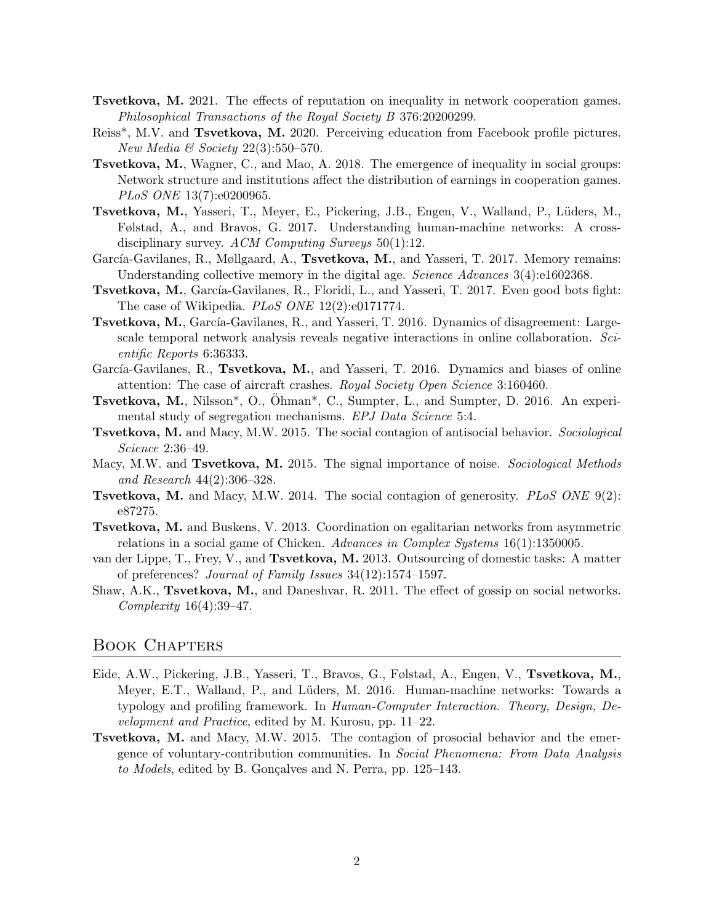- Tsvetkova, M. 2021. The effects of reputation on inequality in network cooperation games. Philosophical Transactions of the Royal Society B 376:20200299.
- Reiss<sup>\*</sup>, M.V. and **Tsvetkova, M.** 2020. Perceiving education from Facebook profile pictures. New Media & Society  $22(3):550-570$ .
- Tsvetkova, M., Wagner, C., and Mao, A. 2018. The emergence of inequality in social groups: Network structure and institutions affect the distribution of earnings in cooperation games. PLoS ONE 13(7):e0200965.
- Tsvetkova, M., Yasseri, T., Meyer, E., Pickering, J.B., Engen, V., Walland, P., L¨uders, M., Følstad, A., and Bravos, G. 2017. Understanding human-machine networks: A crossdisciplinary survey. ACM Computing Surveys 50(1):12.
- García-Gavilanes, R., Møllgaard, A., Tsvetkova, M., and Yasseri, T. 2017. Memory remains: Understanding collective memory in the digital age. Science Advances 3(4):e1602368.
- **Tsvetkova, M.**, García-Gavilanes, R., Floridi, L., and Yasseri, T. 2017. Even good bots fight: The case of Wikipedia. *PLoS ONE* 12(2):e0171774.
- **Tsvetkova, M.,** García-Gavilanes, R., and Yasseri, T. 2016. Dynamics of disagreement: Largescale temporal network analysis reveals negative interactions in online collaboration. Scientific Reports 6:36333.
- García-Gavilanes, R., Tsvetkova, M., and Yasseri, T. 2016. Dynamics and biases of online attention: The case of aircraft crashes. Royal Society Open Science 3:160460.
- Tsvetkova, M., Nilsson\*, O., Ohman\*, C., Sumpter, L., and Sumpter, D. 2016. An experi- ¨ mental study of segregation mechanisms. EPJ Data Science 5:4.
- Tsvetkova, M. and Macy, M.W. 2015. The social contagion of antisocial behavior. Sociological Science 2:36–49.
- Macy, M.W. and **Tsvetkova, M.** 2015. The signal importance of noise. Sociological Methods and Research 44(2):306–328.
- Tsvetkova, M. and Macy, M.W. 2014. The social contagion of generosity. PLoS ONE 9(2): e87275.
- Tsvetkova, M. and Buskens, V. 2013. Coordination on egalitarian networks from asymmetric relations in a social game of Chicken. Advances in Complex Systems 16(1):1350005.
- van der Lippe, T., Frey, V., and Tsvetkova, M. 2013. Outsourcing of domestic tasks: A matter of preferences? Journal of Family Issues 34(12):1574–1597.
- Shaw, A.K., Tsvetkova, M., and Daneshvar, R. 2011. The effect of gossip on social networks. Complexity  $16(4):39-47$ .

### Book Chapters

- Eide, A.W., Pickering, J.B., Yasseri, T., Bravos, G., Følstad, A., Engen, V., Tsvetkova, M., Meyer, E.T., Walland, P., and Lüders, M. 2016. Human-machine networks: Towards a typology and profiling framework. In Human-Computer Interaction. Theory, Design, Development and Practice, edited by M. Kurosu, pp. 11–22.
- Tsvetkova, M. and Macy, M.W. 2015. The contagion of prosocial behavior and the emergence of voluntary-contribution communities. In Social Phenomena: From Data Analysis to Models, edited by B. Gonçalves and N. Perra, pp. 125–143.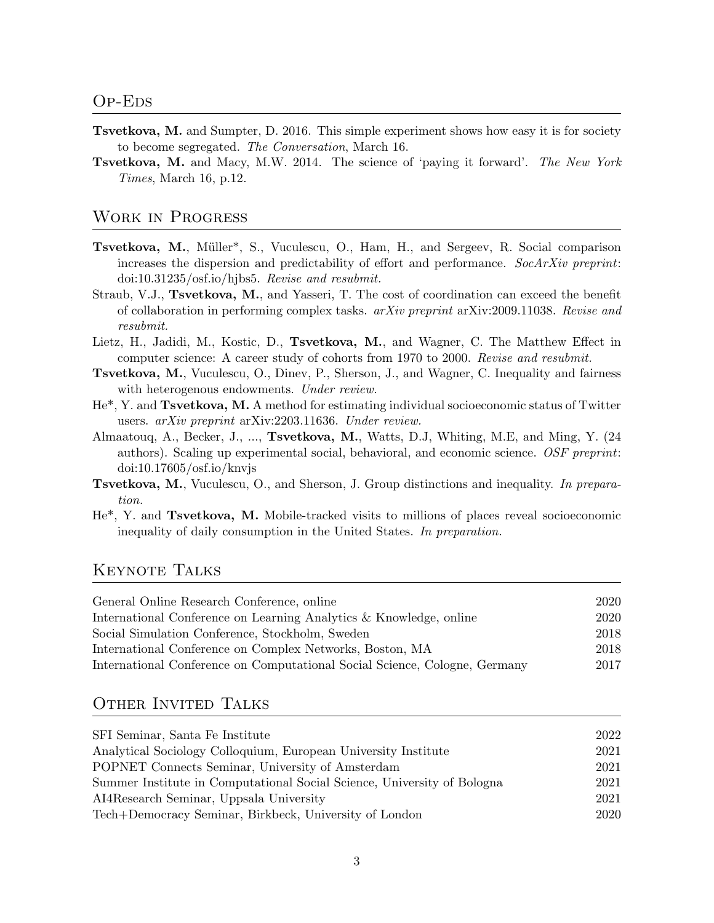- Tsvetkova, M. and Sumpter, D. 2016. This simple experiment shows how easy it is for society to become segregated. The Conversation, March 16.
- **Tsvetkova, M.** and Macy, M.W. 2014. The science of 'paying it forward'. The New York Times, March 16, p.12.

### Work in Progress

- **Tsvetkova, M.**, Müller<sup>\*</sup>, S., Vuculescu, O., Ham, H., and Sergeev, R. Social comparison increases the dispersion and predictability of effort and performance. SocArXiv preprint: doi:10.31235/osf.io/hjbs5. Revise and resubmit.
- Straub, V.J., Tsvetkova, M., and Yasseri, T. The cost of coordination can exceed the benefit of collaboration in performing complex tasks. arXiv preprint arXiv:2009.11038. Revise and resubmit.
- Lietz, H., Jadidi, M., Kostic, D., Tsvetkova, M., and Wagner, C. The Matthew Effect in computer science: A career study of cohorts from 1970 to 2000. Revise and resubmit.
- Tsvetkova, M., Vuculescu, O., Dinev, P., Sherson, J., and Wagner, C. Inequality and fairness with heterogenous endowments. Under review.
- He\*, Y. and Tsvetkova, M. A method for estimating individual socioeconomic status of Twitter users. arXiv preprint arXiv:2203.11636. Under review.
- Almaatouq, A., Becker, J., ..., Tsvetkova, M., Watts, D.J, Whiting, M.E, and Ming, Y. (24 authors). Scaling up experimental social, behavioral, and economic science. OSF preprint: doi:10.17605/osf.io/knvjs
- Tsvetkova, M., Vuculescu, O., and Sherson, J. Group distinctions and inequality. In preparation.
- He\*, Y. and Tsvetkova, M. Mobile-tracked visits to millions of places reveal socioeconomic inequality of daily consumption in the United States. In preparation.

## Keynote Talks

| General Online Research Conference, online                                 | 2020 |
|----------------------------------------------------------------------------|------|
| International Conference on Learning Analytics & Knowledge, online         | 2020 |
| Social Simulation Conference, Stockholm, Sweden                            | 2018 |
| International Conference on Complex Networks, Boston, MA                   | 2018 |
| International Conference on Computational Social Science, Cologne, Germany | 2017 |
|                                                                            |      |

## OTHER INVITED TALKS

| SFI Seminar, Santa Fe Institute                                         | 2022 |
|-------------------------------------------------------------------------|------|
| Analytical Sociology Colloquium, European University Institute          | 2021 |
| POPNET Connects Seminar, University of Amsterdam                        | 2021 |
| Summer Institute in Computational Social Science, University of Bologna | 2021 |
| AI4Research Seminar, Uppsala University                                 | 2021 |
| Tech+Democracy Seminar, Birkbeck, University of London                  | 2020 |
|                                                                         |      |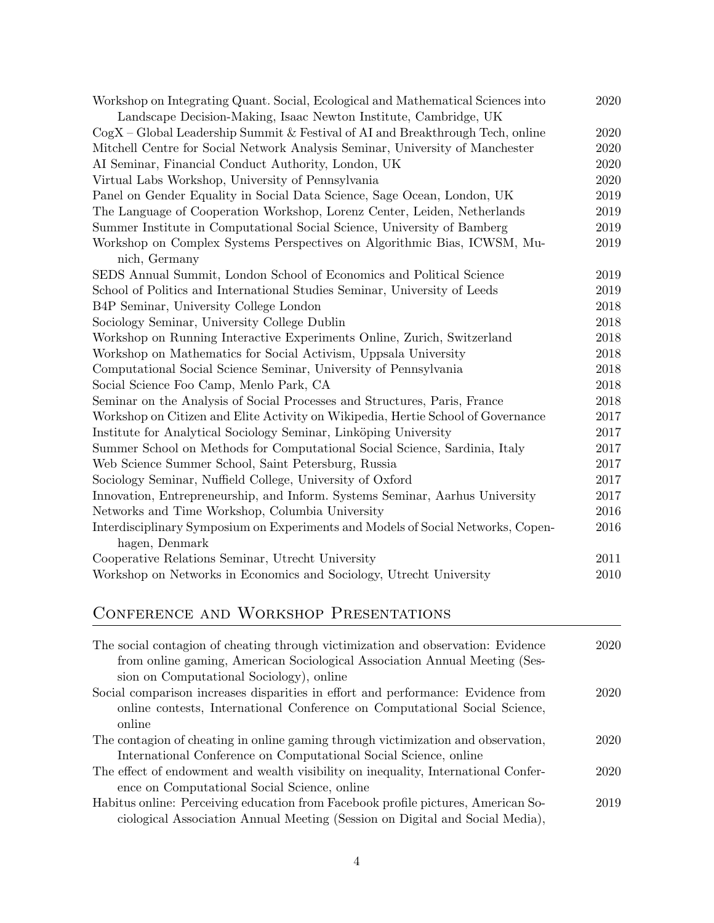| Workshop on Integrating Quant. Social, Ecological and Mathematical Sciences into          | 2020     |
|-------------------------------------------------------------------------------------------|----------|
| Landscape Decision-Making, Isaac Newton Institute, Cambridge, UK                          |          |
| $\mathrm{CogX}$ – Global Leadership Summit & Festival of AI and Breakthrough Tech, online | 2020     |
| Mitchell Centre for Social Network Analysis Seminar, University of Manchester             | 2020     |
| AI Seminar, Financial Conduct Authority, London, UK                                       | 2020     |
| Virtual Labs Workshop, University of Pennsylvania                                         | 2020     |
| Panel on Gender Equality in Social Data Science, Sage Ocean, London, UK                   | 2019     |
| The Language of Cooperation Workshop, Lorenz Center, Leiden, Netherlands                  | 2019     |
| Summer Institute in Computational Social Science, University of Bamberg                   | 2019     |
| Workshop on Complex Systems Perspectives on Algorithmic Bias, ICWSM, Mu-                  | 2019     |
| nich, Germany                                                                             |          |
| SEDS Annual Summit, London School of Economics and Political Science                      | 2019     |
| School of Politics and International Studies Seminar, University of Leeds                 | 2019     |
| B4P Seminar, University College London                                                    | 2018     |
| Sociology Seminar, University College Dublin                                              | 2018     |
| Workshop on Running Interactive Experiments Online, Zurich, Switzerland                   | 2018     |
| Workshop on Mathematics for Social Activism, Uppsala University                           | 2018     |
| Computational Social Science Seminar, University of Pennsylvania                          | 2018     |
| Social Science Foo Camp, Menlo Park, CA                                                   | 2018     |
| Seminar on the Analysis of Social Processes and Structures, Paris, France                 | 2018     |
| Workshop on Citizen and Elite Activity on Wikipedia, Hertie School of Governance          | 2017     |
| Institute for Analytical Sociology Seminar, Linköping University                          | 2017     |
| Summer School on Methods for Computational Social Science, Sardinia, Italy                | 2017     |
| Web Science Summer School, Saint Petersburg, Russia                                       | 2017     |
| Sociology Seminar, Nuffield College, University of Oxford                                 | 2017     |
| Innovation, Entrepreneurship, and Inform. Systems Seminar, Aarhus University              | $2017\,$ |
| Networks and Time Workshop, Columbia University                                           | 2016     |
| Interdisciplinary Symposium on Experiments and Models of Social Networks, Copen-          | 2016     |
| hagen, Denmark                                                                            |          |
| Cooperative Relations Seminar, Utrecht University                                         | 2011     |
| Workshop on Networks in Economics and Sociology, Utrecht University                       | $2010\,$ |

# Conference and Workshop Presentations

| The social contagion of cheating through victimization and observation: Evidence   | 2020 |
|------------------------------------------------------------------------------------|------|
| from online gaming, American Sociological Association Annual Meeting (Ses-         |      |
| sion on Computational Sociology), online                                           |      |
| Social comparison increases disparities in effort and performance: Evidence from   | 2020 |
| online contests, International Conference on Computational Social Science,         |      |
| online                                                                             |      |
| The contagion of cheating in online gaming through victimization and observation,  | 2020 |
| International Conference on Computational Social Science, online                   |      |
| The effect of endowment and wealth visibility on inequality, International Confer- | 2020 |
| ence on Computational Social Science, online                                       |      |
| Habitus online: Perceiving education from Facebook profile pictures, American So-  | 2019 |
| ciological Association Annual Meeting (Session on Digital and Social Media),       |      |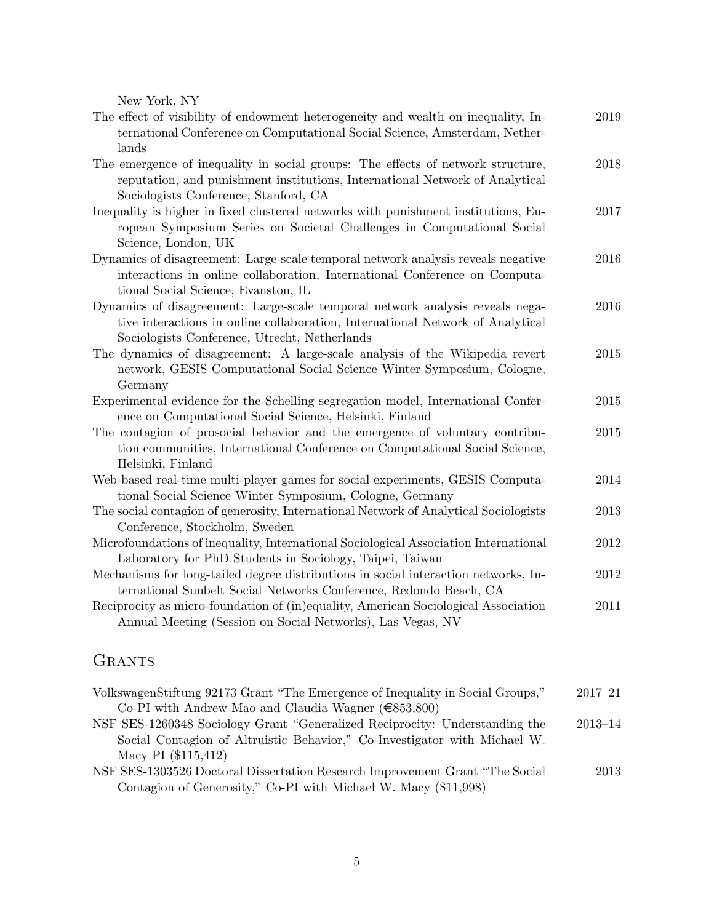New York, NY

| The effect of visibility of endowment heterogeneity and wealth on inequality, In-<br>ternational Conference on Computational Social Science, Amsterdam, Nether- | $2019\,$ |
|-----------------------------------------------------------------------------------------------------------------------------------------------------------------|----------|
| lands                                                                                                                                                           |          |
| The emergence of inequality in social groups: The effects of network structure,                                                                                 | 2018     |
| reputation, and punishment institutions, International Network of Analytical                                                                                    |          |
| Sociologists Conference, Stanford, CA                                                                                                                           |          |
| Inequality is higher in fixed clustered networks with punishment institutions, Eu-                                                                              | 2017     |
| ropean Symposium Series on Societal Challenges in Computational Social                                                                                          |          |
|                                                                                                                                                                 |          |
| Science, London, UK                                                                                                                                             |          |
| Dynamics of disagreement: Large-scale temporal network analysis reveals negative                                                                                | 2016     |
| interactions in online collaboration, International Conference on Computa-                                                                                      |          |
| tional Social Science, Evanston, IL                                                                                                                             |          |
| Dynamics of disagreement: Large-scale temporal network analysis reveals nega-                                                                                   | 2016     |
| tive interactions in online collaboration, International Network of Analytical                                                                                  |          |
| Sociologists Conference, Utrecht, Netherlands                                                                                                                   |          |
| The dynamics of disagreement: A large-scale analysis of the Wikipedia revert                                                                                    | 2015     |
| network, GESIS Computational Social Science Winter Symposium, Cologne,                                                                                          |          |
| Germany                                                                                                                                                         |          |
| Experimental evidence for the Schelling segregation model, International Confer-                                                                                | 2015     |
| ence on Computational Social Science, Helsinki, Finland                                                                                                         |          |
| The contagion of prosocial behavior and the emergence of voluntary contribu-                                                                                    | 2015     |
| tion communities, International Conference on Computational Social Science,                                                                                     |          |
| Helsinki, Finland                                                                                                                                               |          |
| Web-based real-time multi-player games for social experiments, GESIS Computa-                                                                                   | 2014     |
| tional Social Science Winter Symposium, Cologne, Germany                                                                                                        |          |
| The social contagion of generosity, International Network of Analytical Sociologists                                                                            | 2013     |
| Conference, Stockholm, Sweden                                                                                                                                   |          |
| Microfoundations of inequality, International Sociological Association International                                                                            | 2012     |
| Laboratory for PhD Students in Sociology, Taipei, Taiwan                                                                                                        |          |
| Mechanisms for long-tailed degree distributions in social interaction networks, In-                                                                             | 2012     |
| ternational Sunbelt Social Networks Conference, Redondo Beach, CA                                                                                               |          |
| Reciprocity as micro-foundation of (in)equality, American Sociological Association                                                                              | 2011     |
| Annual Meeting (Session on Social Networks), Las Vegas, NV                                                                                                      |          |
|                                                                                                                                                                 |          |

# **GRANTS**

| VolkswagenStiftung 92173 Grant "The Emergence of Inequality in Social Groups," | $2017 - 21$ |
|--------------------------------------------------------------------------------|-------------|
| Co-PI with Andrew Mao and Claudia Wagner ( $\in$ 853,800)                      |             |
| NSF SES-1260348 Sociology Grant "Generalized Reciprocity: Understanding the    | $2013 - 14$ |
| Social Contagion of Altruistic Behavior," Co-Investigator with Michael W.      |             |
| Macy PI (\$115,412)                                                            |             |
| NSF SES-1303526 Doctoral Dissertation Research Improvement Grant "The Social   | 2013        |
| Contagion of Generosity," Co-PI with Michael W. Macy (\$11,998)                |             |
|                                                                                |             |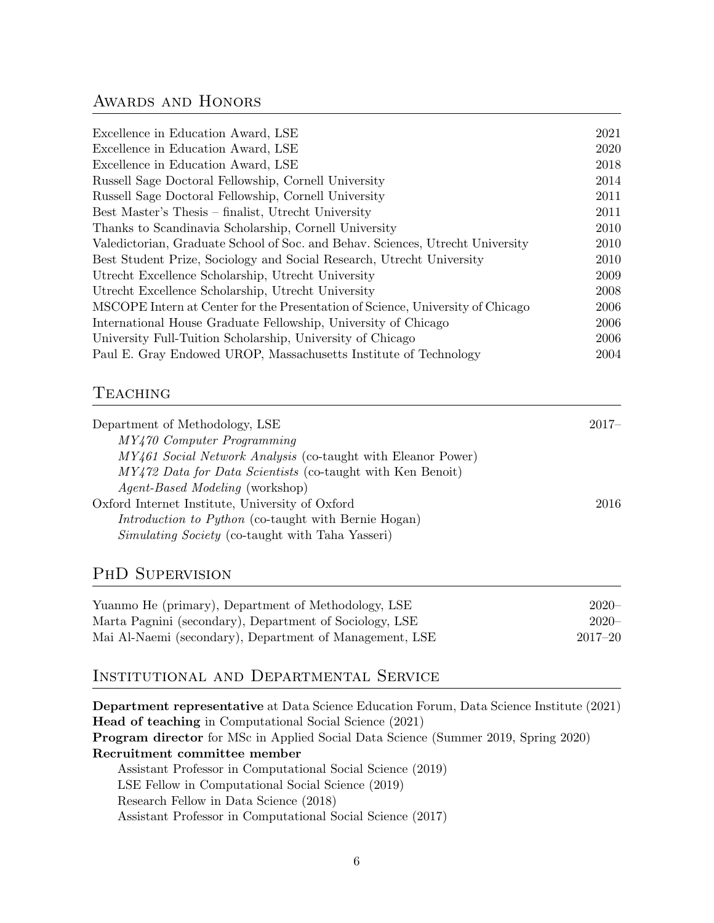## AWARDS AND HONORS

| Excellence in Education Award, LSE                                             | 2021 |
|--------------------------------------------------------------------------------|------|
| Excellence in Education Award, LSE                                             | 2020 |
| Excellence in Education Award, LSE                                             | 2018 |
| Russell Sage Doctoral Fellowship, Cornell University                           | 2014 |
| Russell Sage Doctoral Fellowship, Cornell University                           | 2011 |
| Best Master's Thesis – finalist, Utrecht University                            | 2011 |
| Thanks to Scandinavia Scholarship, Cornell University                          | 2010 |
| Valedictorian, Graduate School of Soc. and Behav. Sciences, Utrecht University | 2010 |
| Best Student Prize, Sociology and Social Research, Utrecht University          | 2010 |
| Utrecht Excellence Scholarship, Utrecht University                             | 2009 |
| Utrecht Excellence Scholarship, Utrecht University                             | 2008 |
| MSCOPE Intern at Center for the Presentation of Science, University of Chicago | 2006 |
| International House Graduate Fellowship, University of Chicago                 | 2006 |
| University Full-Tuition Scholarship, University of Chicago                     | 2006 |
| Paul E. Gray Endowed UROP, Massachusetts Institute of Technology               | 2004 |
|                                                                                |      |

## **TEACHING**

| Department of Methodology, LSE                               | $2017-$ |
|--------------------------------------------------------------|---------|
| MY470 Computer Programming                                   |         |
| MY461 Social Network Analysis (co-taught with Eleanor Power) |         |
| MY472 Data for Data Scientists (co-taught with Ken Benoit)   |         |
| <i>Agent-Based Modeling</i> (workshop)                       |         |
| Oxford Internet Institute, University of Oxford              | 2016    |
| <i>Introduction to Python</i> (co-taught with Bernie Hogan)  |         |
| <i>Simulating Society</i> (co-taught with Taha Yasseri)      |         |
|                                                              |         |

# PHD SUPERVISION

| Yuanmo He (primary), Department of Methodology, LSE     | $2020 -$    |
|---------------------------------------------------------|-------------|
| Marta Pagnini (secondary), Department of Sociology, LSE | $2020 -$    |
| Mai Al-Naemi (secondary), Department of Management, LSE | $2017 - 20$ |

# Institutional and Departmental Service

Department representative at Data Science Education Forum, Data Science Institute (2021) Head of teaching in Computational Social Science (2021) Program director for MSc in Applied Social Data Science (Summer 2019, Spring 2020) Recruitment committee member Assistant Professor in Computational Social Science (2019) LSE Fellow in Computational Social Science (2019) Research Fellow in Data Science (2018) Assistant Professor in Computational Social Science (2017)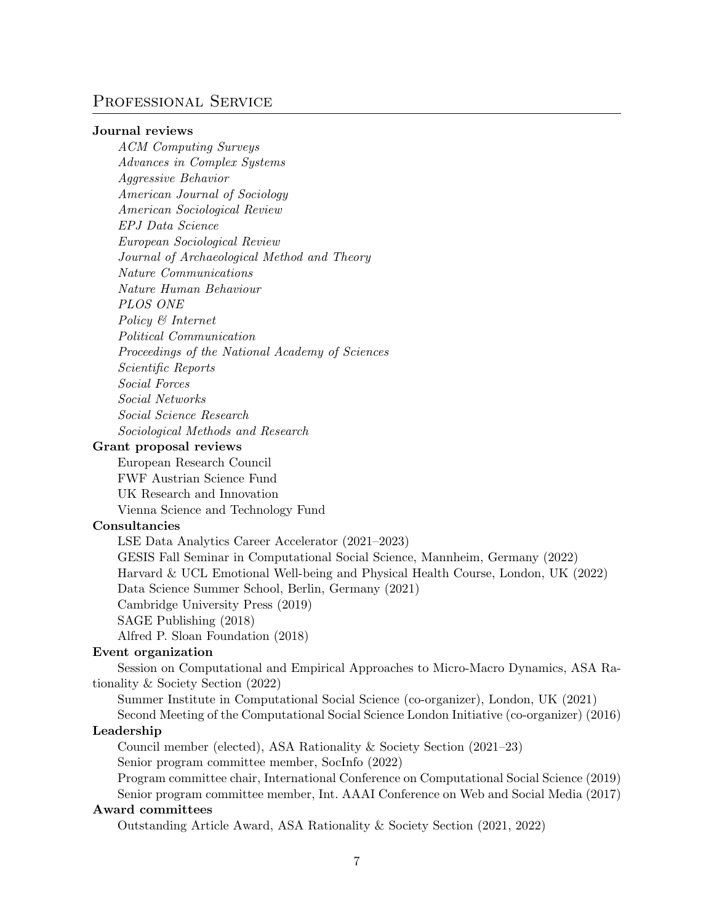## PROFESSIONAL SERVICE

#### Journal reviews

ACM Computing Surveys Advances in Complex Systems Aggressive Behavior American Journal of Sociology American Sociological Review EPJ Data Science European Sociological Review Journal of Archaeological Method and Theory Nature Communications Nature Human Behaviour PLOS ONE Policy & Internet Political Communication Proceedings of the National Academy of Sciences Scientific Reports Social Forces Social Networks Social Science Research Sociological Methods and Research

#### Grant proposal reviews

European Research Council FWF Austrian Science Fund UK Research and Innovation Vienna Science and Technology Fund

#### Consultancies

LSE Data Analytics Career Accelerator (2021–2023) GESIS Fall Seminar in Computational Social Science, Mannheim, Germany (2022) Harvard & UCL Emotional Well-being and Physical Health Course, London, UK (2022) Data Science Summer School, Berlin, Germany (2021) Cambridge University Press (2019) SAGE Publishing (2018)

Alfred P. Sloan Foundation (2018)

#### Event organization

Session on Computational and Empirical Approaches to Micro-Macro Dynamics, ASA Rationality & Society Section (2022)

Summer Institute in Computational Social Science (co-organizer), London, UK (2021)

Second Meeting of the Computational Social Science London Initiative (co-organizer) (2016) Leadership

Council member (elected), ASA Rationality & Society Section (2021–23)

Senior program committee member, SocInfo (2022)

Program committee chair, International Conference on Computational Social Science (2019)

Senior program committee member, Int. AAAI Conference on Web and Social Media (2017) Award committees

Outstanding Article Award, ASA Rationality & Society Section (2021, 2022)